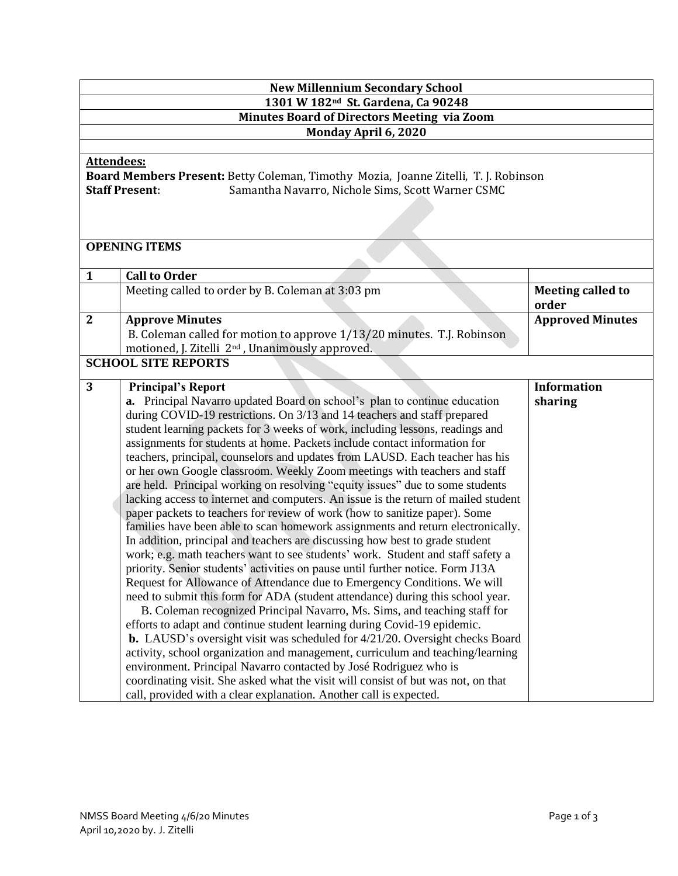| <b>New Millennium Secondary School</b>                                                                                                                                                 |                                                                                                                                                                                                                                                                                                                                                                                                                                                                                                                                                                                                                                                                                                                                                                                                                                                                                                                                                                                                                                                                                                                                                                                                                                                                                                                                                                                                                                                                                                                                                                                                                                                                                                                                                                                                                                                   |                                   |  |  |
|----------------------------------------------------------------------------------------------------------------------------------------------------------------------------------------|---------------------------------------------------------------------------------------------------------------------------------------------------------------------------------------------------------------------------------------------------------------------------------------------------------------------------------------------------------------------------------------------------------------------------------------------------------------------------------------------------------------------------------------------------------------------------------------------------------------------------------------------------------------------------------------------------------------------------------------------------------------------------------------------------------------------------------------------------------------------------------------------------------------------------------------------------------------------------------------------------------------------------------------------------------------------------------------------------------------------------------------------------------------------------------------------------------------------------------------------------------------------------------------------------------------------------------------------------------------------------------------------------------------------------------------------------------------------------------------------------------------------------------------------------------------------------------------------------------------------------------------------------------------------------------------------------------------------------------------------------------------------------------------------------------------------------------------------------|-----------------------------------|--|--|
| 1301 W 182 <sup>nd</sup> St. Gardena, Ca 90248                                                                                                                                         |                                                                                                                                                                                                                                                                                                                                                                                                                                                                                                                                                                                                                                                                                                                                                                                                                                                                                                                                                                                                                                                                                                                                                                                                                                                                                                                                                                                                                                                                                                                                                                                                                                                                                                                                                                                                                                                   |                                   |  |  |
| <b>Minutes Board of Directors Meeting via Zoom</b>                                                                                                                                     |                                                                                                                                                                                                                                                                                                                                                                                                                                                                                                                                                                                                                                                                                                                                                                                                                                                                                                                                                                                                                                                                                                                                                                                                                                                                                                                                                                                                                                                                                                                                                                                                                                                                                                                                                                                                                                                   |                                   |  |  |
| Monday April 6, 2020                                                                                                                                                                   |                                                                                                                                                                                                                                                                                                                                                                                                                                                                                                                                                                                                                                                                                                                                                                                                                                                                                                                                                                                                                                                                                                                                                                                                                                                                                                                                                                                                                                                                                                                                                                                                                                                                                                                                                                                                                                                   |                                   |  |  |
| <b>Attendees:</b><br>Board Members Present: Betty Coleman, Timothy Mozia, Joanne Zitelli, T. J. Robinson<br><b>Staff Present:</b><br>Samantha Navarro, Nichole Sims, Scott Warner CSMC |                                                                                                                                                                                                                                                                                                                                                                                                                                                                                                                                                                                                                                                                                                                                                                                                                                                                                                                                                                                                                                                                                                                                                                                                                                                                                                                                                                                                                                                                                                                                                                                                                                                                                                                                                                                                                                                   |                                   |  |  |
| <b>OPENING ITEMS</b>                                                                                                                                                                   |                                                                                                                                                                                                                                                                                                                                                                                                                                                                                                                                                                                                                                                                                                                                                                                                                                                                                                                                                                                                                                                                                                                                                                                                                                                                                                                                                                                                                                                                                                                                                                                                                                                                                                                                                                                                                                                   |                                   |  |  |
| $\mathbf{1}$                                                                                                                                                                           | <b>Call to Order</b>                                                                                                                                                                                                                                                                                                                                                                                                                                                                                                                                                                                                                                                                                                                                                                                                                                                                                                                                                                                                                                                                                                                                                                                                                                                                                                                                                                                                                                                                                                                                                                                                                                                                                                                                                                                                                              |                                   |  |  |
|                                                                                                                                                                                        | Meeting called to order by B. Coleman at 3:03 pm                                                                                                                                                                                                                                                                                                                                                                                                                                                                                                                                                                                                                                                                                                                                                                                                                                                                                                                                                                                                                                                                                                                                                                                                                                                                                                                                                                                                                                                                                                                                                                                                                                                                                                                                                                                                  | <b>Meeting called to</b><br>order |  |  |
| $\mathbf{2}$                                                                                                                                                                           | <b>Approve Minutes</b><br>B. Coleman called for motion to approve 1/13/20 minutes. T.J. Robinson<br>motioned, J. Zitelli 2 <sup>nd</sup> , Unanimously approved.                                                                                                                                                                                                                                                                                                                                                                                                                                                                                                                                                                                                                                                                                                                                                                                                                                                                                                                                                                                                                                                                                                                                                                                                                                                                                                                                                                                                                                                                                                                                                                                                                                                                                  | <b>Approved Minutes</b>           |  |  |
|                                                                                                                                                                                        | <b>SCHOOL SITE REPORTS</b>                                                                                                                                                                                                                                                                                                                                                                                                                                                                                                                                                                                                                                                                                                                                                                                                                                                                                                                                                                                                                                                                                                                                                                                                                                                                                                                                                                                                                                                                                                                                                                                                                                                                                                                                                                                                                        |                                   |  |  |
| 3                                                                                                                                                                                      | <b>Principal's Report</b><br><b>a.</b> Principal Navarro updated Board on school's plan to continue education<br>during COVID-19 restrictions. On 3/13 and 14 teachers and staff prepared<br>student learning packets for 3 weeks of work, including lessons, readings and<br>assignments for students at home. Packets include contact information for<br>teachers, principal, counselors and updates from LAUSD. Each teacher has his<br>or her own Google classroom. Weekly Zoom meetings with teachers and staff<br>are held. Principal working on resolving "equity issues" due to some students<br>lacking access to internet and computers. An issue is the return of mailed student<br>paper packets to teachers for review of work (how to sanitize paper). Some<br>families have been able to scan homework assignments and return electronically.<br>In addition, principal and teachers are discussing how best to grade student<br>work; e.g. math teachers want to see students' work. Student and staff safety a<br>priority. Senior students' activities on pause until further notice. Form J13A<br>Request for Allowance of Attendance due to Emergency Conditions. We will<br>need to submit this form for ADA (student attendance) during this school year.<br>B. Coleman recognized Principal Navarro, Ms. Sims, and teaching staff for<br>efforts to adapt and continue student learning during Covid-19 epidemic.<br><b>b.</b> LAUSD's oversight visit was scheduled for 4/21/20. Oversight checks Board<br>activity, school organization and management, curriculum and teaching/learning<br>environment. Principal Navarro contacted by José Rodriguez who is<br>coordinating visit. She asked what the visit will consist of but was not, on that<br>call, provided with a clear explanation. Another call is expected. | <b>Information</b><br>sharing     |  |  |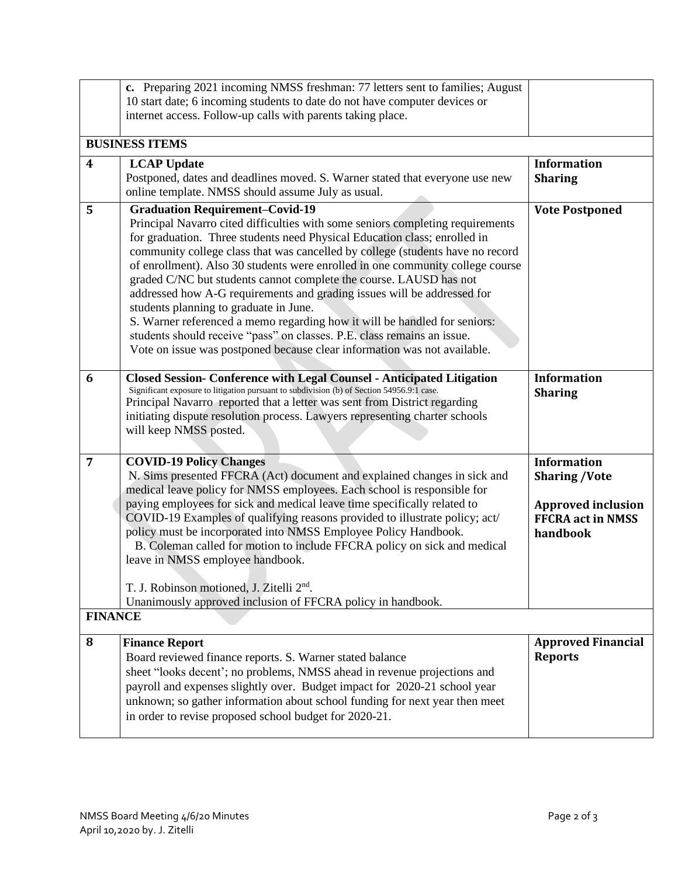|                         | c. Preparing 2021 incoming NMSS freshman: 77 letters sent to families; August                                       |                           |  |  |
|-------------------------|---------------------------------------------------------------------------------------------------------------------|---------------------------|--|--|
|                         | 10 start date; 6 incoming students to date do not have computer devices or                                          |                           |  |  |
|                         | internet access. Follow-up calls with parents taking place.                                                         |                           |  |  |
| <b>BUSINESS ITEMS</b>   |                                                                                                                     |                           |  |  |
| $\overline{\mathbf{4}}$ | <b>LCAP Update</b>                                                                                                  | <b>Information</b>        |  |  |
|                         | Postponed, dates and deadlines moved. S. Warner stated that everyone use new                                        | <b>Sharing</b>            |  |  |
|                         | online template. NMSS should assume July as usual.                                                                  |                           |  |  |
| 5                       | <b>Graduation Requirement-Covid-19</b>                                                                              | <b>Vote Postponed</b>     |  |  |
|                         | Principal Navarro cited difficulties with some seniors completing requirements                                      |                           |  |  |
|                         | for graduation. Three students need Physical Education class; enrolled in                                           |                           |  |  |
|                         | community college class that was cancelled by college (students have no record                                      |                           |  |  |
|                         | of enrollment). Also 30 students were enrolled in one community college course                                      |                           |  |  |
|                         | graded C/NC but students cannot complete the course. LAUSD has not                                                  |                           |  |  |
|                         | addressed how A-G requirements and grading issues will be addressed for                                             |                           |  |  |
|                         | students planning to graduate in June.<br>S. Warner referenced a memo regarding how it will be handled for seniors: |                           |  |  |
|                         | students should receive "pass" on classes. P.E. class remains an issue.                                             |                           |  |  |
|                         | Vote on issue was postponed because clear information was not available.                                            |                           |  |  |
|                         |                                                                                                                     |                           |  |  |
| 6                       | <b>Closed Session- Conference with Legal Counsel - Anticipated Litigation</b>                                       | <b>Information</b>        |  |  |
|                         | Significant exposure to litigation pursuant to subdivision (b) of Section 54956.9:1 case.                           | <b>Sharing</b>            |  |  |
|                         | Principal Navarro reported that a letter was sent from District regarding                                           |                           |  |  |
|                         | initiating dispute resolution process. Lawyers representing charter schools<br>will keep NMSS posted.               |                           |  |  |
|                         |                                                                                                                     |                           |  |  |
| $\overline{7}$          | <b>COVID-19 Policy Changes</b>                                                                                      | <b>Information</b>        |  |  |
|                         | N. Sims presented FFCRA (Act) document and explained changes in sick and                                            | <b>Sharing /Vote</b>      |  |  |
|                         | medical leave policy for NMSS employees. Each school is responsible for                                             |                           |  |  |
|                         | paying employees for sick and medical leave time specifically related to                                            | <b>Approved inclusion</b> |  |  |
|                         | COVID-19 Examples of qualifying reasons provided to illustrate policy; act/                                         | <b>FFCRA act in NMSS</b>  |  |  |
|                         | policy must be incorporated into NMSS Employee Policy Handbook.                                                     | handbook                  |  |  |
|                         | B. Coleman called for motion to include FFCRA policy on sick and medical                                            |                           |  |  |
|                         | leave in NMSS employee handbook.                                                                                    |                           |  |  |
|                         | T. J. Robinson motioned, J. Zitelli 2 <sup>nd</sup> .                                                               |                           |  |  |
|                         | Unanimously approved inclusion of FFCRA policy in handbook.                                                         |                           |  |  |
| <b>FINANCE</b>          |                                                                                                                     |                           |  |  |
|                         |                                                                                                                     |                           |  |  |
| 8                       | <b>Finance Report</b>                                                                                               | <b>Approved Financial</b> |  |  |
|                         | Board reviewed finance reports. S. Warner stated balance                                                            | <b>Reports</b>            |  |  |
|                         | sheet "looks decent'; no problems, NMSS ahead in revenue projections and                                            |                           |  |  |
|                         | payroll and expenses slightly over. Budget impact for 2020-21 school year                                           |                           |  |  |
|                         | unknown; so gather information about school funding for next year then meet                                         |                           |  |  |
|                         | in order to revise proposed school budget for 2020-21.                                                              |                           |  |  |
|                         |                                                                                                                     |                           |  |  |